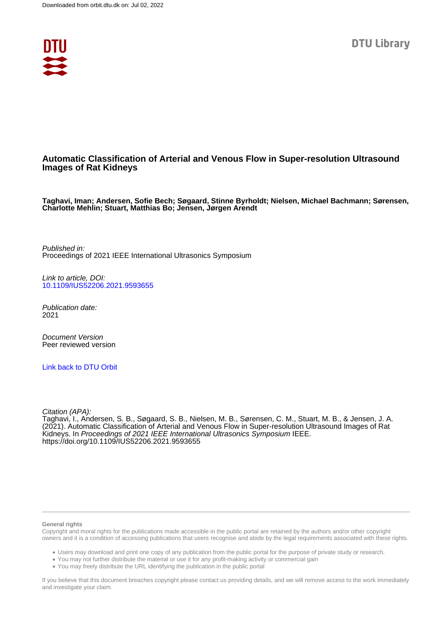

## **Automatic Classification of Arterial and Venous Flow in Super-resolution Ultrasound Images of Rat Kidneys**

**Taghavi, Iman; Andersen, Sofie Bech; Søgaard, Stinne Byrholdt; Nielsen, Michael Bachmann; Sørensen, Charlotte Mehlin; Stuart, Matthias Bo; Jensen, Jørgen Arendt**

Published in: Proceedings of 2021 IEEE International Ultrasonics Symposium

Link to article, DOI: [10.1109/IUS52206.2021.9593655](https://doi.org/10.1109/IUS52206.2021.9593655)

Publication date: 2021

Document Version Peer reviewed version

[Link back to DTU Orbit](https://orbit.dtu.dk/en/publications/99c17817-a5e8-4c8d-aa33-b68f087c2a68)

Citation (APA):

Taghavi, I., Andersen, S. B., Søgaard, S. B., Nielsen, M. B., Sørensen, C. M., Stuart, M. B., & Jensen, J. A. (2021). Automatic Classification of Arterial and Venous Flow in Super-resolution Ultrasound Images of Rat Kidneys. In Proceedings of 2021 IEEE International Ultrasonics Symposium IEEE. <https://doi.org/10.1109/IUS52206.2021.9593655>

#### **General rights**

Copyright and moral rights for the publications made accessible in the public portal are retained by the authors and/or other copyright owners and it is a condition of accessing publications that users recognise and abide by the legal requirements associated with these rights.

Users may download and print one copy of any publication from the public portal for the purpose of private study or research.

- You may not further distribute the material or use it for any profit-making activity or commercial gain
- You may freely distribute the URL identifying the publication in the public portal

If you believe that this document breaches copyright please contact us providing details, and we will remove access to the work immediately and investigate your claim.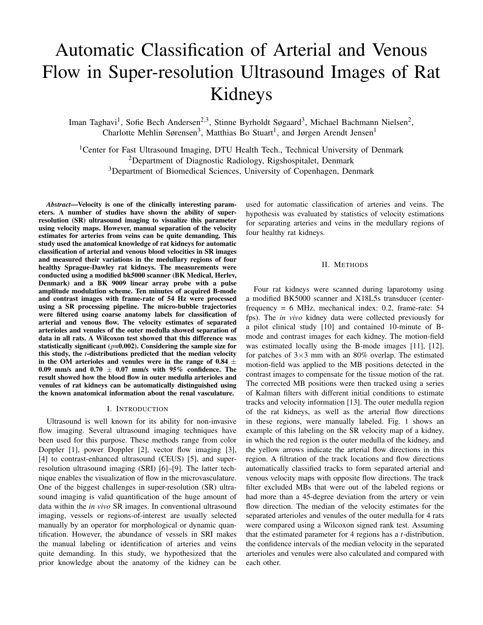# Automatic Classification of Arterial and Venous Flow in Super-resolution Ultrasound Images of Rat Kidneys

Iman Taghavi<sup>1</sup>, Sofie Bech Andersen<sup>2,3</sup>, Stinne Byrholdt Søgaard<sup>3</sup>, Michael Bachmann Nielsen<sup>2</sup>, Charlotte Mehlin Sørensen<sup>3</sup>, Matthias Bo Stuart<sup>1</sup>, and Jørgen Arendt Jensen<sup>1</sup>

<sup>1</sup>Center for Fast Ultrasound Imaging, DTU Health Tech., Technical University of Denmark <sup>2</sup>Department of Diagnostic Radiology, Rigshospitalet, Denmark <sup>3</sup>Department of Biomedical Sciences, University of Copenhagen, Denmark

*Abstract*—Velocity is one of the clinically interesting parameters. A number of studies have shown the ability of superresolution (SR) ultrasound imaging to visualize this parameter using velocity maps. However, manual separation of the velocity estimates for arteries from veins can be quite demanding. This study used the anatomical knowledge of rat kidneys for automatic classification of arterial and venous blood velocities in SR images and measured their variations in the medullary regions of four healthy Sprague-Dawley rat kidneys. The measurements were conducted using a modified bk5000 scanner (BK Medical, Herlev, Denmark) and a BK 9009 linear array probe with a pulse amplitude modulation scheme. Ten minutes of acquired B-mode and contrast images with frame-rate of 54 Hz were processed using a SR processing pipeline. The micro-bubble trajectories were filtered using coarse anatomy labels for classification of arterial and venous flow. The velocity estimates of separated arterioles and venules of the outer medulla showed separation of data in all rats. A Wilcoxon test showed that this difference was statistically significant  $(p=0.002)$ . Considering the sample size for this study, the *t*-distributions predicted that the median velocity in the OM arterioles and venules were in the range of 0.84  $\pm$ 0.09 mm/s and 0.70  $\pm$  0.07 mm/s with 95% confidence. The result showed how the blood flow in outer medulla arterioles and venules of rat kidneys can be automatically distinguished using the known anatomical information about the renal vasculature.

#### I. INTRODUCTION

Ultrasound is well known for its ability for non-invasive flow imaging. Several ultrasound imaging techniques have been used for this purpose. These methods range from color Doppler [1], power Doppler [2], vector flow imaging [3], [4] to contrast-enhanced ultrasound (CEUS) [5], and superresolution ultrasound imaging (SRI) [6]–[9]. The latter technique enables the visualization of flow in the microvasculature. One of the biggest challenges in super-resolution (SR) ultrasound imaging is valid quantification of the huge amount of data within the *in vivo* SR images. In conventional ultrasound imaging, vessels or regions-of-interest are usually selected manually by an operator for morphological or dynamic quantification. However, the abundance of vessels in SRI makes the manual labeling or identification of arteries and veins quite demanding. In this study, we hypothesized that the prior knowledge about the anatomy of the kidney can be

used for automatic classification of arteries and veins. The hypothesis was evaluated by statistics of velocity estimations for separating arteries and veins in the medullary regions of four healthy rat kidneys.

## II. METHODS

Four rat kidneys were scanned during laparotomy using a modified BK5000 scanner and X18L5s transducer (centerfrequency = 6 MHz, mechanical index: 0.2, frame-rate: 54 fps). The *in vivo* kidney data were collected previously for a pilot clinical study [10] and contained 10-minute of Bmode and contrast images for each kidney. The motion-field was estimated locally using the B-mode images [11], [12], for patches of  $3\times3$  mm with an 80% overlap. The estimated motion-field was applied to the MB positions detected in the contrast images to compensate for the tissue motion of the rat. The corrected MB positions were then tracked using a series of Kalman filters with different initial conditions to estimate tracks and velocity information [13]. The outer medulla region of the rat kidneys, as well as the arterial flow directions in these regions, were manually labeled. Fig. 1 shows an example of this labeling on the SR velocity map of a kidney, in which the red region is the outer medulla of the kidney, and the yellow arrows indicate the arterial flow directions in this region. A filtration of the track locations and flow directions automatically classified tracks to form separated arterial and venous velocity maps with opposite flow directions. The track filter excluded MBs that were out of the labeled regions or had more than a 45-degree deviation from the artery or vein flow direction. The median of the velocity estimates for the separated arterioles and venules of the outer medulla for 4 rats were compared using a Wilcoxon signed rank test. Assuming that the estimated parameter for 4 regions has a *t*-distribution, the confidence intervals of the median velocity in the separated arterioles and venules were also calculated and compared with each other.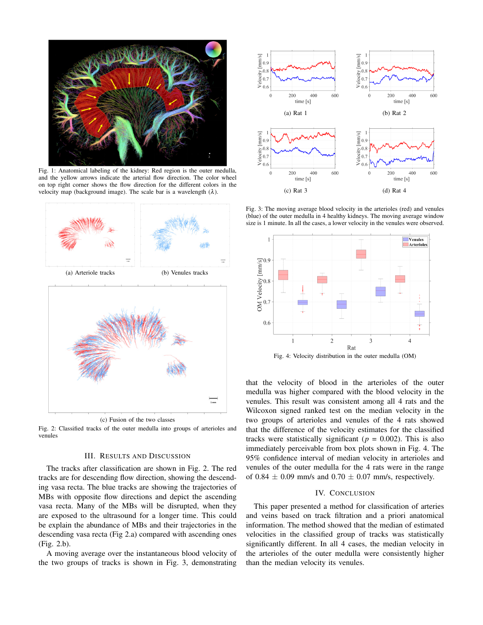

Fig. 1: Anatomical labeling of the kidney: Red region is the outer medulla, and the yellow arrows indicate the arterial flow direction. The color wheel on top right corner shows the flow direction for the different colors in the velocity map (background image). The scale bar is a wavelength  $(\lambda)$ .





Fig. 2: Classified tracks of the outer medulla into groups of arterioles and venules

## III. RESULTS AND DISCUSSION

The tracks after classification are shown in Fig. 2. The red tracks are for descending flow direction, showing the descending vasa recta. The blue tracks are showing the trajectories of MBs with opposite flow directions and depict the ascending vasa recta. Many of the MBs will be disrupted, when they are exposed to the ultrasound for a longer time. This could be explain the abundance of MBs and their trajectories in the descending vasa recta (Fig 2.a) compared with ascending ones (Fig. 2.b).

A moving average over the instantaneous blood velocity of the two groups of tracks is shown in Fig. 3, demonstrating



Fig. 3: The moving average blood velocity in the arterioles (red) and venules (blue) of the outer medulla in 4 healthy kidneys. The moving average window size is 1 minute. In all the cases, a lower velocity in the venules were observed.



Fig. 4: Velocity distribution in the outer medulla (OM)

that the velocity of blood in the arterioles of the outer medulla was higher compared with the blood velocity in the venules. This result was consistent among all 4 rats and the Wilcoxon signed ranked test on the median velocity in the two groups of arterioles and venules of the 4 rats showed that the difference of the velocity estimates for the classified tracks were statistically significant ( $p = 0.002$ ). This is also immediately perceivable from box plots shown in Fig. 4. The 95% confidence interval of median velocity in arterioles and venules of the outer medulla for the 4 rats were in the range of 0.84  $\pm$  0.09 mm/s and 0.70  $\pm$  0.07 mm/s, respectively.

#### IV. CONCLUSION

This paper presented a method for classification of arteries and veins based on track filtration and a priori anatomical information. The method showed that the median of estimated velocities in the classified group of tracks was statistically significantly different. In all 4 cases, the median velocity in the arterioles of the outer medulla were consistently higher than the median velocity its venules.